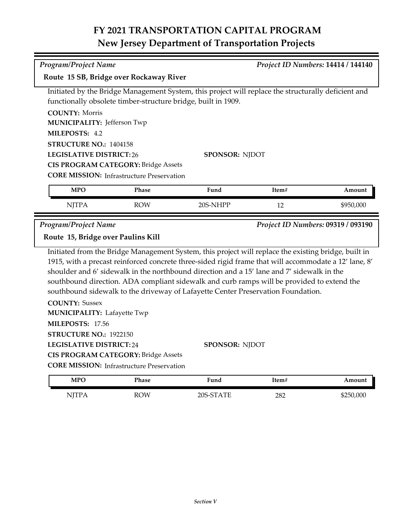## **FY 2021 TRANSPORTATION CAPITAL PROGRAM New Jersey Department of Transportation Projects**

| Program/Project Name                                                                                                                                                                                                                                                                                                                                                                                                                                                                          | Route 15 SB, Bridge over Rockaway River          |                       | Project ID Numbers: 14414 / 144140 |                                    |  |  |  |
|-----------------------------------------------------------------------------------------------------------------------------------------------------------------------------------------------------------------------------------------------------------------------------------------------------------------------------------------------------------------------------------------------------------------------------------------------------------------------------------------------|--------------------------------------------------|-----------------------|------------------------------------|------------------------------------|--|--|--|
| Initiated by the Bridge Management System, this project will replace the structurally deficient and<br>functionally obsolete timber-structure bridge, built in 1909.                                                                                                                                                                                                                                                                                                                          |                                                  |                       |                                    |                                    |  |  |  |
| <b>COUNTY: Morris</b><br><b>MUNICIPALITY: Jefferson Twp</b>                                                                                                                                                                                                                                                                                                                                                                                                                                   |                                                  |                       |                                    |                                    |  |  |  |
| MILEPOSTS: 4.2                                                                                                                                                                                                                                                                                                                                                                                                                                                                                |                                                  |                       |                                    |                                    |  |  |  |
| STRUCTURE NO.: 1404158                                                                                                                                                                                                                                                                                                                                                                                                                                                                        |                                                  |                       |                                    |                                    |  |  |  |
| <b>LEGISLATIVE DISTRICT:26</b>                                                                                                                                                                                                                                                                                                                                                                                                                                                                |                                                  |                       | <b>SPONSOR: NJDOT</b>              |                                    |  |  |  |
|                                                                                                                                                                                                                                                                                                                                                                                                                                                                                               | <b>CIS PROGRAM CATEGORY: Bridge Assets</b>       |                       |                                    |                                    |  |  |  |
|                                                                                                                                                                                                                                                                                                                                                                                                                                                                                               | <b>CORE MISSION:</b> Infrastructure Preservation |                       |                                    |                                    |  |  |  |
| <b>MPO</b>                                                                                                                                                                                                                                                                                                                                                                                                                                                                                    | Phase                                            | Fund                  | Item#                              | Amount                             |  |  |  |
| <b>NJTPA</b>                                                                                                                                                                                                                                                                                                                                                                                                                                                                                  | <b>ROW</b>                                       | 20S-NHPP              | 12                                 | \$950,000                          |  |  |  |
| <b>Program/Project Name</b>                                                                                                                                                                                                                                                                                                                                                                                                                                                                   |                                                  |                       |                                    | Project ID Numbers: 09319 / 093190 |  |  |  |
| Route 15, Bridge over Paulins Kill                                                                                                                                                                                                                                                                                                                                                                                                                                                            |                                                  |                       |                                    |                                    |  |  |  |
| Initiated from the Bridge Management System, this project will replace the existing bridge, built in<br>1915, with a precast reinforced concrete three-sided rigid frame that will accommodate a 12' lane, 8'<br>shoulder and 6' sidewalk in the northbound direction and a 15' lane and 7' sidewalk in the<br>southbound direction. ADA compliant sidewalk and curb ramps will be provided to extend the<br>southbound sidewalk to the driveway of Lafayette Center Preservation Foundation. |                                                  |                       |                                    |                                    |  |  |  |
| <b>COUNTY: Sussex</b><br><b>MUNICIPALITY: Lafayette Twp</b>                                                                                                                                                                                                                                                                                                                                                                                                                                   |                                                  |                       |                                    |                                    |  |  |  |
|                                                                                                                                                                                                                                                                                                                                                                                                                                                                                               |                                                  |                       |                                    |                                    |  |  |  |
| MILEPOSTS: 17.56                                                                                                                                                                                                                                                                                                                                                                                                                                                                              |                                                  |                       |                                    |                                    |  |  |  |
| STRUCTURE NO.: 1922150                                                                                                                                                                                                                                                                                                                                                                                                                                                                        |                                                  |                       |                                    |                                    |  |  |  |
| <b>LEGISLATIVE DISTRICT:24</b>                                                                                                                                                                                                                                                                                                                                                                                                                                                                |                                                  | <b>SPONSOR: NJDOT</b> |                                    |                                    |  |  |  |
|                                                                                                                                                                                                                                                                                                                                                                                                                                                                                               | <b>CIS PROGRAM CATEGORY: Bridge Assets</b>       |                       |                                    |                                    |  |  |  |
|                                                                                                                                                                                                                                                                                                                                                                                                                                                                                               | <b>CORE MISSION:</b> Infrastructure Preservation |                       |                                    |                                    |  |  |  |

NJTPA ROW 20S-STATE 282 \$250,000